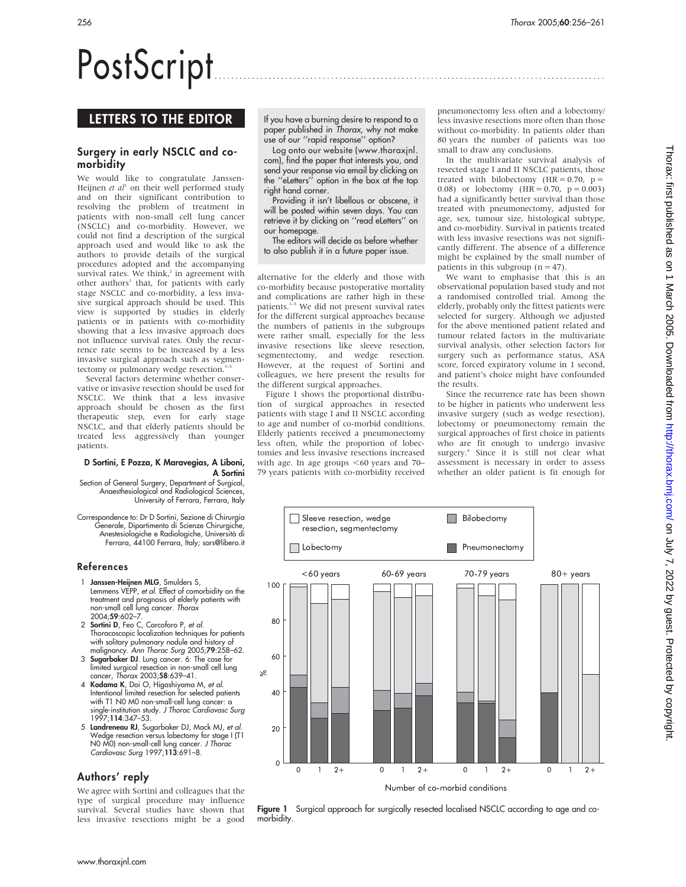# PostScript

## LETTERS TO THE EDITOR

## Surgery in early NSCLC and comorbidity

We would like to congratulate Janssen-Heijnen et  $al<sup>1</sup>$  on their well performed study and on their significant contribution to resolving the problem of treatment in patients with non-small cell lung cancer (NSCLC) and co-morbidity. However, we could not find a description of the surgical approach used and would like to ask the authors to provide details of the surgical procedures adopted and the accompanying survival rates. We think, $2$  in agreement with other authors<sup>3</sup> that, for patients with early stage NSCLC and co-morbidity, a less invasive surgical approach should be used. This view is supported by studies in elderly patients or in patients with co-morbidity showing that a less invasive approach does not influence survival rates. Only the recurrence rate seems to be increased by a less invasive surgical approach such as segmentectomy or pulmonary wedge resection.<sup>3</sup>

Several factors determine whether conservative or invasive resection should be used for NSCLC. We think that a less invasive approach should be chosen as the first therapeutic step, even for early stage NSCLC, and that elderly patients should be treated less aggressively than younger patients.

#### D Sortini, E Pozza, K Maravegias, A Liboni, A Sortini

Section of General Surgery, Department of Surgical, Anaesthesiological and Radiological Sciences, University of Ferrara, Ferrara, Italy

Correspondence to: Dr D Sortini, Sezione di Chirurgia ,<br>Generale, Dipartimento di Scienze Chirurgiche, Anestesiologiche e Radiologiche, Universita` di Ferrara, 44100 Ferrara, Italy; sors@libero.it

### References

- 1 Janssen-Heijnen MLG, Smulders S, Lemmens VEPP, et al. Effect of comorbidity on the treatment and prognosis of elderly patients with non-small cell lung cancer. Thorax
- 2004;59:602–7. 2 Sortini D, Feo C, Carcoforo P, et al. Thoracoscopic localization techniques for patients with solitary pulmonary nodule and history of malignancy. Ann Thorac Surg 2005;79:258–62.
- 3 Sugarbaker DJ. Lung cancer. 6: The case for limited surgical resection in non-small cell lung cancer, Thorax 2003;58:639–41.
- 4 Kodama K, Doi O, Higashiyama M, et al. Intentional limited resection for selected patients with T1 N0 M0 non-small-cell lung cancer: a single-institution study. J Thorac Cardiovasc Surg 1997;114:347–53.
- Landreneau RJ, Sugarbaker DJ, Mack MJ, et al. Wedge resection versus lobectomy for stage I (T1 N0 M0) non-small-cell lung cancer. J Thorac Cardiovasc Surg 1997;113:691–8.

## Authors' reply

We agree with Sortini and colleagues that the type of surgical procedure may influence survival. Several studies have shown that less invasive resections might be a good If you have a burning desire to respond to a paper published in Thorax, why not make use of our ''rapid response'' option?

Log onto our website (www.thoraxjnl. com), find the paper that interests you, and send your response via email by clicking on the ''eLetters'' option in the box at the top right hand corner.

Providing it isn't libellous or obscene, it will be posted within seven days. You can retrieve it by clicking on ''read eLetters'' on our homepage.

The editors will decide as before whether to also publish it in a future paper issue.

alternative for the elderly and those with co-morbidity because postoperative mortality and complications are rather high in these patients.<sup>1-5</sup> We did not present survival rates for the different surgical approaches because the numbers of patients in the subgroups were rather small, especially for the less invasive resections like sleeve resection, segmentectomy, and wedge resection. However, at the request of Sortini and colleagues, we here present the results for the different surgical approaches.

Figure 1 shows the proportional distribution of surgical approaches in resected patients with stage I and II NSCLC according to age and number of co-morbid conditions. Elderly patients received a pneumonectomy less often, while the proportion of lobectomies and less invasive resections increased with age. In age groups  $<$  60 years and 70– 79 years patients with co-morbidity received

> Sleeve resection, wedge resection, segmentectomy

pneumonectomy less often and a lobectomy/ less invasive resections more often than those without co-morbidity. In patients older than 80 years the number of patients was too small to draw any conclusions.

In the multivariate survival analysis of resected stage I and II NSCLC patients, those treated with bilobectomy  $(HR = 0.70, p =$ 0.08) or lobectomy  $(HR = 0.70, p = 0.003)$ had a significantly better survival than those treated with pneumonectomy, adjusted for age, sex, tumour size, histological subtype, and co-morbidity. Survival in patients treated with less invasive resections was not significantly different. The absence of a difference might be explained by the small number of patients in this subgroup  $(n = 47)$ .

We want to emphasise that this is an observational population based study and not a randomised controlled trial. Among the elderly, probably only the fittest patients were selected for surgery. Although we adjusted for the above mentioned patient related and tumour related factors in the multivariate survival analysis, other selection factors for surgery such as performance status, ASA score, forced expiratory volume in 1 second, and patient's choice might have confounded the results.

Since the recurrence rate has been shown to be higher in patients who underwent less invasive surgery (such as wedge resection), lobectomy or pneumonectomy remain the surgical approaches of first choice in patients who are fit enough to undergo invasive surgery.<sup>4</sup> Since it is still not clear what assessment is necessary in order to assess whether an older patient is fit enough for

Bilobectomy



 $0 \t 1 \t 2+$ + 0 1 2 + 0 1 2 + 0 1 2  $2+$ Number of co-morbid conditions 100 80 60 40 20  $\Omega$ ×, <60 years 60-69 years 70-79 years 80+ years Lobectomy Pneumonectomy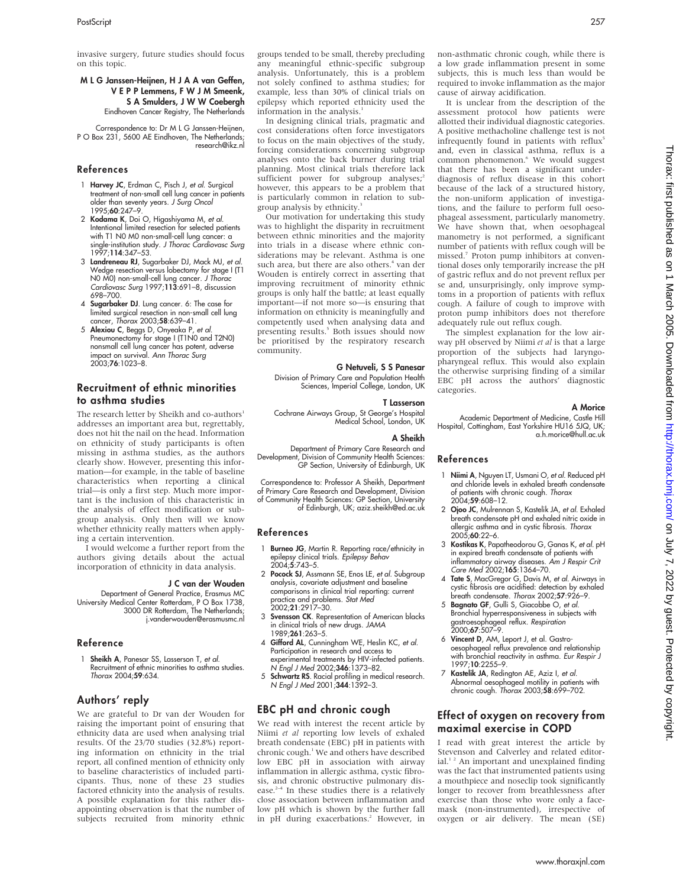invasive surgery, future studies should focus on this topic.

#### M L G Janssen-Heijnen, H J A A van Geffen, V E P P Lemmens, F W J M Smeenk, S A Smulders, J W W Coebergh Eindhoven Cancer Registry, The Netherlands

Correspondence to: Dr M L G Janssen-Heijnen, P O Box 231, 5600 AE Eindhoven, The Netherlands; research@ikz.nl

#### References

- 1 Harvey JC, Erdman C, Pisch J, et al. Surgical treatment of non-small cell lung cancer in patients older than seventy years. J Surg Oncol 1995;60:247–9.
- 2 Kodama K, Doi O, Higashiyama M, et al. Intentional limited resection for selected patients with T1 N0 M0 non-small-cell lung cancer: a single-institution study. J Thorac Cardiovasc Surg 1997;114:347–53.
- 3 Landreneau RJ, Sugarbaker DJ, Mack MJ, et al. Wedge resection versus lobectomy for stage I (T1<br>N0 M0) non-small-cell lung cancer. *J Thorac*<br>*Cardiovasc Surg* 1997;**113**:691–8, discussion 698–700.
- 4 Sugarbaker DJ. Lung cancer. 6: The case for limited surgical resection in non-small cell lung cancer, Thorax 2003;58:639–41.
- 5 Alexiou C, Beggs D, Onyeaka P, et al. Pneumonectomy for stage I (T1N0 and T2N0) nonsmall cell lung cancer has potent, adverse impact on survival. Ann Thorac Surg 2003;76:1023–8.

## Recruitment of ethnic minorities to asthma studies

The research letter by Sheikh and co-authors<sup>1</sup> addresses an important area but, regrettably, does not hit the nail on the head. Information on ethnicity of study participants is often missing in asthma studies, as the authors clearly show. However, presenting this information—for example, in the table of baseline characteristics when reporting a clinical trial—is only a first step. Much more important is the inclusion of this characteristic in the analysis of effect modification or subgroup analysis. Only then will we know whether ethnicity really matters when applying a certain intervention.

I would welcome a further report from the authors giving details about the actual incorporation of ethnicity in data analysis.

#### J C van der Wouden

Department of General Practice, Erasmus MC University Medical Center Rotterdam, P O Box 1738, 3000 DR Rotterdam, The Netherlands; j.vanderwouden@erasmusmc.nl

#### Reference

1 Sheikh A, Panesar SS, Lasserson T, et al. Recruitment of ethnic minorities to asthma studies. Thorax 2004;59:634.

## Authors' reply

We are grateful to Dr van der Wouden for raising the important point of ensuring that ethnicity data are used when analysing trial results. Of the 23/70 studies (32.8%) reporting information on ethnicity in the trial report, all confined mention of ethnicity only to baseline characteristics of included participants. Thus, none of these 23 studies factored ethnicity into the analysis of results. A possible explanation for this rather disappointing observation is that the number of subjects recruited from minority ethnic

groups tended to be small, thereby precluding any meaningful ethnic-specific subgroup analysis. Unfortunately, this is a problem not solely confined to asthma studies; for example, less than 30% of clinical trials on epilepsy which reported ethnicity used the information in the analysis.<sup>1</sup>

In designing clinical trials, pragmatic and cost considerations often force investigators to focus on the main objectives of the study, forcing considerations concerning subgroup analyses onto the back burner during trial planning. Most clinical trials therefore lack sufficient power for subgroup analyses;<sup>2</sup> however, this appears to be a problem that is particularly common in relation to subgroup analysis by ethnicity.<sup>3</sup>

Our motivation for undertaking this study was to highlight the disparity in recruitment between ethnic minorities and the majority into trials in a disease where ethnic considerations may be relevant. Asthma is one such area, but there are also others.<sup>4</sup> van der Wouden is entirely correct in asserting that improving recruitment of minority ethnic groups is only half the battle; at least equally important—if not more so—is ensuring that information on ethnicity is meaningfully and competently used when analysing data and presenting results.<sup>5</sup> Both issues should now be prioritised by the respiratory research community.

#### G Netuveli, S S Panesar

Division of Primary Care and Population Health Sciences, Imperial College, London, UK

#### T Lasserson

Cochrane Airways Group, St George's Hospital Medical School, London, UK

#### A Sheikh

Department of Primary Care Research and Development, Division of Community Health Sciences: GP Section, University of Edinburgh, UK

Correspondence to: Professor A Sheikh, Department of Primary Care Research and Development, Division of Community Health Sciences: GP Section, University of Edinburgh, UK; aziz.sheikh@ed.ac.uk

#### References

- 1 Burneo JG, Martin R. Reporting race/ethnicity in epilepsy clinical trials. Epilepsy Behav 2004;5:743–5.
- 2 Pocock SJ, Assmann SE, Enos LE, et al. Subgroup analysis, covariate adjustment and baseline comparisons in clinical trial reporting: current practice and problems. *Stat Med*<br>2002;**21**:2917–30.
- 3 Svensson CK. Representation of American blacks in clinical trials of new drugs. JAMA 1989;261:263–5.
- 4 Gifford AL, Cunningham WE, Heslin KC, et al. Participation in research and access to experimental treatments by HIV-infected patients. N Engl J Med 2002;346:1373–82.
- 5 Schwartz RS. Racial profiling in medical research. N Engl J Med 2001;344:1392–3.

## EBC pH and chronic cough

We read with interest the recent article by Niimi et al reporting low levels of exhaled breath condensate (EBC) pH in patients with chronic cough.<sup>1</sup> We and others have described low EBC pH in association with airway inflammation in allergic asthma, cystic fibrosis, and chronic obstructive pulmonary disease. $2-4$  In these studies there is a relatively close association between inflammation and low pH which is shown by the further fall in pH during exacerbations.<sup>2</sup> However, in non-asthmatic chronic cough, while there is a low grade inflammation present in some subjects, this is much less than would be required to invoke inflammation as the major cause of airway acidification.

It is unclear from the description of the assessment protocol how patients were allotted their individual diagnostic categories. A positive methacholine challenge test is not infrequently found in patients with reflux<sup>5</sup> and, even in classical asthma, reflux is a common phenomenon.<sup>6</sup> We would suggest that there has been a significant underdiagnosis of reflux disease in this cohort because of the lack of a structured history, the non-uniform application of investigations, and the failure to perform full oesophageal assessment, particularly manometry. We have shown that, when oesophageal manometry is not performed, a significant number of patients with reflux cough will be missed.7 Proton pump inhibitors at conventional doses only temporarily increase the pH of gastric reflux and do not prevent reflux per se and, unsurprisingly, only improve symptoms in a proportion of patients with reflux cough. A failure of cough to improve with proton pump inhibitors does not therefore adequately rule out reflux cough.

The simplest explanation for the low airway pH observed by Niimi et al is that a large proportion of the subjects had laryngopharyngeal reflux. This would also explain the otherwise surprising finding of a similar EBC pH across the authors' diagnostic categories.

#### A Morice

Academic Department of Medicine, Castle Hill Hospital, Cottingham, East Yorkshire HU16 5JQ, UK; a.h.morice@hull.ac.uk

#### References

- 1 Niimi A, Nguyen LT, Usmani O, et al. Reduced pH and chloride levels in exhaled breath condensate of patients with chronic cough. Thorax 2004;59:608–12.
- 2 Ojoo JC, Mulrennan S, Kastelik JA, et al. Exhaled breath condensate pH and exhaled nitric oxide in allergic asthma and in cystic fibrosis. Thorax 2005;60:22–6.
- 3 Kostikas K, Papatheodorou G, Ganas K, et al. pH in expired breath condensate of patients with inflammatory airway diseases. Am J Respir Crit Care Med 2002;165:1364–70.
- 4 Tate S, MacGregor G, Davis M, et al. Airways in cystic fibrosis are acidified: detection by exhaled
- breath condensate. Thorax 2002;57:926–9. 5 Bagnato GF, Gulli S, Giacobbe O, et al. Bronchial hyperresponsiveness in subjects with gastroesophageal reflux. *Respiration*<br>2000;**67**:507–9.
- 6 Vincent D, AM, Leport J, et al. Gastrooesophageal reflux prevalence and relationship with bronchial reactivity in asthma. Eur Respir J 1997;10:2255–9.
- 7 Kastelik JA, Redington AE, Aziz I, et al. Abnormal oesophageal motility in patients with chronic cough. Thorax 2003;58:699–702.

## Effect of oxygen on recovery from maximal exercise in COPD

I read with great interest the article by Stevenson and Calverley and related editorial.<sup>12</sup> An important and unexplained finding was the fact that instrumented patients using a mouthpiece and noseclip took significantly longer to recover from breathlessness after exercise than those who wore only a facemask (non-instrumented), irrespective of oxygen or air delivery. The mean (SE)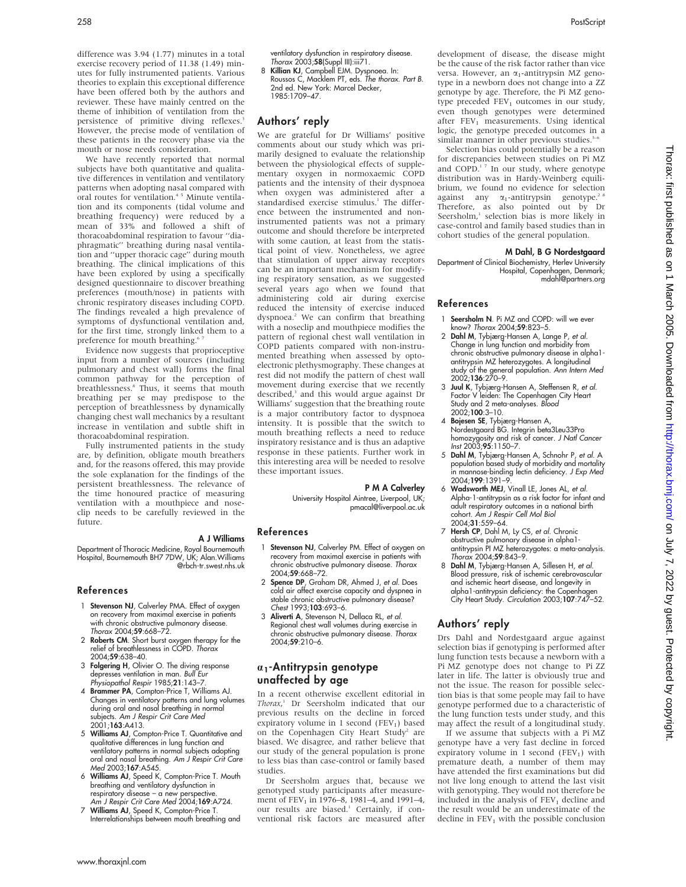difference was 3.94 (1.77) minutes in a total exercise recovery period of 11.38 (1.49) minutes for fully instrumented patients. Various theories to explain this exceptional difference have been offered both by the authors and reviewer. These have mainly centred on the theme of inhibition of ventilation from the persistence of primitive diving reflexes.<sup>3</sup> However, the precise mode of ventilation of these patients in the recovery phase via the mouth or nose needs consideration.

We have recently reported that normal subjects have both quantitative and qualitative differences in ventilation and ventilatory patterns when adopting nasal compared with oral routes for ventilation.<sup>45</sup> Minute ventilation and its components (tidal volume and breathing frequency) were reduced by a mean of 33% and followed a shift of thoracoabdominal respiration to favour ''diaphragmatic'' breathing during nasal ventilation and ''upper thoracic cage'' during mouth breathing. The clinical implications of this have been explored by using a specifically designed questionnaire to discover breathing preferences (mouth/nose) in patients with chronic respiratory diseases including COPD. The findings revealed a high prevalence of symptoms of dysfunctional ventilation and, for the first time, strongly linked them to a preference for mouth breathing.<sup>6</sup>

Evidence now suggests that proprioceptive input from a number of sources (including pulmonary and chest wall) forms the final common pathway for the perception of breathlessness.<sup>8</sup> Thus, it seems that mouth breathing per se may predispose to the perception of breathlessness by dynamically changing chest wall mechanics by a resultant increase in ventilation and subtle shift in thoracoabdominal respiration.

Fully instrumented patients in the study are, by definition, obligate mouth breathers and, for the reasons offered, this may provide the sole explanation for the findings of the persistent breathlessness. The relevance of the time honoured practice of measuring ventilation with a mouthpiece and noseclip needs to be carefully reviewed in the future.

#### A J Williams

Department of Thoracic Medicine, Royal Bournemouth Hospital, Bournemouth BH7 7DW, UK; Alan.Williams @rbch-tr.swest.nhs.uk

#### References

- 1 Stevenson NJ, Calverley PMA. Effect of oxygen on recovery from maximal exercise in patients with chronic obstructive pulmonary disease. Thorax 2004;59:668–72.
- 2 Roberts CM. Short burst oxygen therapy for the relief of breathlessness in COPD. Thorax 2004;59:638–40.
- 3 Folgering H, Olivier O. The diving response depresses ventilation in man. Bull Eur Physiopathol Respir 1985;21:143-7
- 4 Brammer PA, Compton-Price T, Williams AJ. Changes in ventilatory patterns and lung volumes during oral and nasal breathing in normal subjects. *Am J Respir Crit Care Med*<br>2001;**163**:A413.
- 5 Williams AJ, Compton-Price T. Quantitative and qualitative differences in lung function and ventilatory patterns in normal subjects adopting oral and nasal breathing. Am J Respir Crit Care Med 2003;167:A545.
- 6 Williams AJ, Speed K, Compton-Price T. Mouth breathing and ventilatory dysfunction in respiratory disease – a new perspective.<br>Am J Respir Crit Care Med 2004;**169**:A724.
- 7 Williams AJ, Speed K, Compton-Price T. Interrelationships between mouth breathing and

ventilatory dysfunction in respiratory disease. . 11.iii71.bh*rax* 2003;**58(**Suppl III):iii

8 Killian KJ, Campbell EJM. Dyspnoea. In: Roussos C, Macklem PT, eds. The thorax. Part B. 2nd ed. New York: Marcel Decker, 1985:1709–47.

## Authors' reply

We are grateful for Dr Williams' positive comments about our study which was primarily designed to evaluate the relationship between the physiological effects of supplementary oxygen in normoxaemic COPD patients and the intensity of their dyspnoea when oxygen was administered after a standardised exercise stimulus.<sup>1</sup> The difference between the instrumented and noninstrumented patients was not a primary outcome and should therefore be interpreted with some caution, at least from the statistical point of view. Nonetheless, we agree that stimulation of upper airway receptors can be an important mechanism for modifying respiratory sensation, as we suggested several years ago when we found that administering cold air during exercise reduced the intensity of exercise induced dyspnoea.2 We can confirm that breathing with a noseclip and mouthpiece modifies the pattern of regional chest wall ventilation in COPD patients compared with non-instrumented breathing when assessed by optoelectronic plethysmography. These changes at rest did not modify the pattern of chest wall movement during exercise that we recently described,<sup>3</sup> and this would argue against Dr Williams' suggestion that the breathing route is a major contributory factor to dyspnoea intensity. It is possible that the switch to mouth breathing reflects a need to reduce inspiratory resistance and is thus an adaptive response in these patients. Further work in this interesting area will be needed to resolve these important issues.

#### P M A Calverley

University Hospital Aintree, Liverpool, UK; pmacal@liverpool.ac.uk

#### References

- 1 Stevenson NJ, Calverley PM. Effect of oxygen on recovery from maximal exercise in patients with chronic obstructive pulmonary disease. Thorax 2004;59:668–72.
- 2 Spence DP, Graham DR, Ahmed J, et al. Does cold air affect exercise capacity and dyspnea in stable chronic obstructive pulmonary disease? Chest 1993;103:693–6.
- 3 Aliverti A, Stevenson N, Dellaca RL, et al. Regional chest wall volumes during exercise in chronic obstructive pulmonary disease. Thorax 2004;59:210–6.

## $\alpha_1$ -Antitrypsin genotype unaffected by age

In a recent otherwise excellent editorial in Thorax, <sup>1</sup> Dr Seersholm indicated that our previous results on the decline in forced expiratory volume in 1 second  $(FEV_1)$  based on the Copenhagen City Heart Study<sup>2</sup> are biased. We disagree, and rather believe that our study of the general population is prone to less bias than case-control or family based studies.

Dr Seersholm argues that, because we genotyped study participants after measurement of FEV<sub>1</sub> in 1976–8, 1981–4, and 1991–4, our results are biased.<sup>1</sup> Certainly, if conventional risk factors are measured after development of disease, the disease might be the cause of the risk factor rather than vice versa. However, an  $\alpha_1$ -antitrypsin MZ genotype in a newborn does not change into a ZZ genotype by age. Therefore, the Pi MZ genotype preceded  $FEV<sub>1</sub>$  outcomes in our study, even though genotypes were determined after FEV<sub>1</sub> measurements. Using identical logic, the genotype preceded outcomes in a similar manner in other previous studies.<sup>3-6</sup>

Selection bias could potentially be a reason for discrepancies between studies on Pi MZ and COPD.<sup>17</sup> In our study, where genotype distribution was in Hardy-Weinberg equilibrium, we found no evidence for selection against any  $\alpha_1$ -antitrypsin genotype.<sup>2</sup> Therefore, as also pointed out by Dr<br>Seersholm,<sup>1</sup> selection bias is more likely in case-control and family based studies than in cohort studies of the general population.

## M Dahl, B G Nordestgaard

Department of Clinical Biochemistry, Herlev University Hospital, Copenhagen, Denmark; mdahl@partners.org

#### References

- Seersholm N. Pi MZ and COPD: will we ever know? Thorax 2004;59:823–5.
- 2 Dahl M, Tybjærg-Hansen A, Lange P, et al. Change in lung function and morbidity from chronic obstructive pulmonary disease in alpha1 antitrypsin MZ heterozygotes. A longitudinal study of the general population. *Ann Intern Med*<br>2002;**136**:270–9.
- 3 Juul K, Tybjærg-Hansen A, Steffensen R, et al. Factor V leiden: The Copenhagen City Heart Study and 2 meta-analyses. Blood  $2002 \cdot 100 \cdot 3 - 10$
- 4 Bojesen SE, Tybjærg-Hansen A, Nordestgaard BG. Integrin beta3Leu33Pro homozygosity and risk of cancer. *J Natl Cancer*<br>*Inst* 2003;**95**:1150–7.
- 5 Dahl M, Tybjærg-Hansen A, Schnohr P, et al. A population based study of morbidity and mortality in mannose-binding lectin deficiency. J Exp Med 2004;199:1391–9.
- 6 Wadsworth MEJ, Vinall LE, Jones AL, et al. Alpha-1-antitrypsin as a risk factor for infant and adult respiratory outcomes in a national birth cohort. Am J Respir Cell Mol Biol 2004;31:559–64.
- 7 Hersh CP, Dahl M, Ly CS, et al. Chronic obstructive pulmonary disease in alpha1- antitrypsin PI MZ heterozygotes: a meta-analysis. Thorax 2004;59:843–9.
- 8 Dahl M, Tybjærg-Hansen A, Sillesen H, et al. Blood pressure, risk of ischemic cerebrovascular and ischemic heart disease, and longevity in alpha1-antitrypsin deficiency: the Copenhagen<br>City Heart Study. *Circulation* 2003;**107**:747–52.

## Authors' reply

Drs Dahl and Nordestgaard argue against selection bias if genotyping is performed after lung function tests because a newborn with a Pi MZ genotype does not change to Pi ZZ later in life. The latter is obviously true and not the issue. The reason for possible selection bias is that some people may fail to have genotype performed due to a characteristic of the lung function tests under study, and this may affect the result of a longitudinal study.

If we assume that subjects with a Pi MZ genotype have a very fast decline in forced expiratory volume in 1 second (FEV<sub>1</sub>) with premature death, a number of them may have attended the first examinations but did not live long enough to attend the last visit with genotyping. They would not therefore be included in the analysis of  $FEV<sub>1</sub>$  decline and the result would be an underestimate of the decline in  $FEV<sub>1</sub>$  with the possible conclusion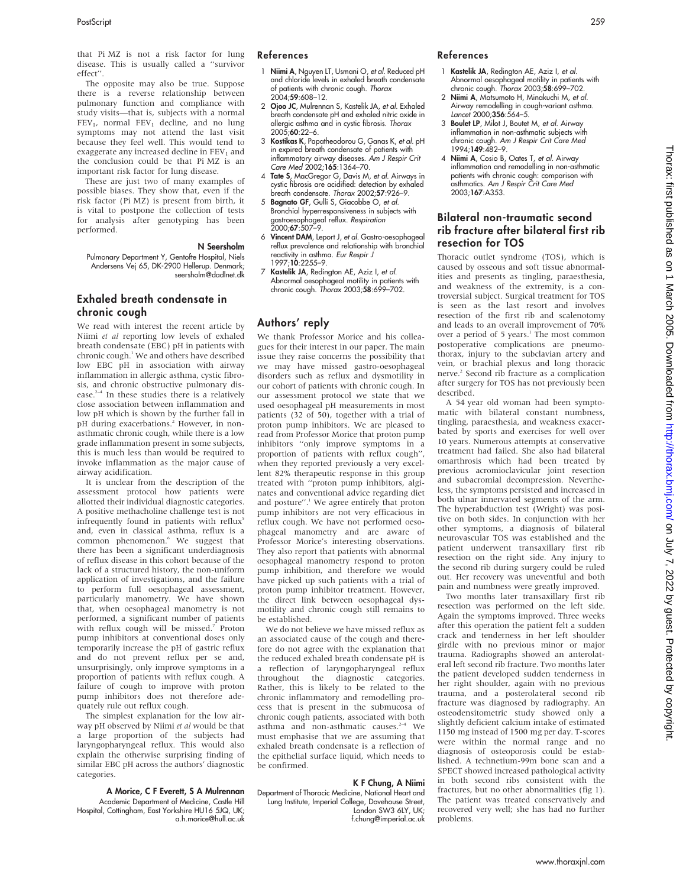that Pi MZ is not a risk factor for lung disease. This is usually called a ''survivor effect''.

The opposite may also be true. Suppose there is a reverse relationship between pulmonary function and compliance with study visits—that is, subjects with a normal  $FEV<sub>1</sub>$ , normal  $FEV<sub>1</sub>$  decline, and no lung symptoms may not attend the last visit because they feel well. This would tend to exaggerate any increased decline in FEV<sub>1</sub> and the conclusion could be that Pi MZ is an important risk factor for lung disease.

These are just two of many examples of possible biases. They show that, even if the risk factor (Pi MZ) is present from birth, it is vital to postpone the collection of tests for analysis after genotyping has been performed.

#### N Seersholm

Pulmonary Department Y, Gentofte Hospital, Niels Andersens Vej 65, DK-2900 Hellerup. Denmark; seersholm@dadlnet.dk

## Exhaled breath condensate in chronic cough

We read with interest the recent article by Niimi et al reporting low levels of exhaled breath condensate (EBC) pH in patients with chronic cough.<sup>1</sup> We and others have described low EBC pH in association with airway inflammation in allergic asthma, cystic fibrosis, and chronic obstructive pulmonary disease.2–4 In these studies there is a relatively close association between inflammation and low pH which is shown by the further fall in pH during exacerbations.<sup>2</sup> However, in nonasthmatic chronic cough, while there is a low grade inflammation present in some subjects, this is much less than would be required to invoke inflammation as the major cause of airway acidification.

It is unclear from the description of the assessment protocol how patients were allotted their individual diagnostic categories. A positive methacholine challenge test is not infrequently found in patients with reflux<sup>5</sup> and, even in classical asthma, reflux is a common phenomenon.6 We suggest that there has been a significant underdiagnosis of reflux disease in this cohort because of the lack of a structured history, the non-uniform application of investigations, and the failure to perform full oesophageal assessment, particularly manometry. We have shown that, when oesophageal manometry is not performed, a significant number of patients with reflux cough will be missed.<sup>7</sup> Proton pump inhibitors at conventional doses only temporarily increase the pH of gastric reflux and do not prevent reflux per se and, unsurprisingly, only improve symptoms in a proportion of patients with reflux cough. A failure of cough to improve with proton pump inhibitors does not therefore adequately rule out reflux cough.

The simplest explanation for the low airway pH observed by Niimi et al would be that a large proportion of the subjects had laryngopharyngeal reflux. This would also explain the otherwise surprising finding of similar EBC pH across the authors' diagnostic categories.

#### A Morice, C F Everett, S A Mulrennan

Academic Department of Medicine, Castle Hill Hospital, Cottingham, East Yorkshire HU16 5JQ, UK; a.h.morice@hull.ac.uk

## References

- 1 Niimi A, Nguyen LT, Usmani O, et al. Reduced pH and chloride levels in exhaled breath condensate of patients with chronic cough. Thorax 2004;59:608–12.
- 2 Ojoo JC, Mulrennan S, Kastelik JA, et al. Exhaled breath condensate pH and exhaled nitric oxide in allergic asthma and in cystic fibrosis. Thorax 2005;60:22–6.
- 3 Kostikas K, Papatheodorou G, Ganas K, et al. pH in expired breath condensate of patients with intlammatory airway diseases. *Am J Respir Crit*<br>*Care Med* 2002;**165**:1364–70.
- 4 Tate S, MacGregor G, Davis M, et al. Airways in cystic fibrosis are acidified: detection by exhaled<br>breath condensate. *Thorax* 2002;**57**:926–9.
- 5 Bagnato GF, Gulli S, Giacobbe O, et al. Bronchial hyperresponsiveness in subjects with gastroesophageal reflux. *Respiration*<br>2000;**67**:507–9.
- 6 Vincent DAM, Leport J, et al. Gastro-oesophageal reflux prevalence and relationship with bronchial reactivity in asthma. Eur Respir J 1997;10:2255–9.
- 7 Kastelik JA, Redington AE, Aziz I, et al. Abnormal oesophageal motility in patients with chronic cough. Thorax 2003;58:699–702.

## Authors' reply

We thank Professor Morice and his colleagues for their interest in our paper. The main issue they raise concerns the possibility that we may have missed gastro-oesophageal disorders such as reflux and dysmotility in our cohort of patients with chronic cough. In our assessment protocol we state that we used oesophageal pH measurements in most patients (32 of 50), together with a trial of proton pump inhibitors. We are pleased to read from Professor Morice that proton pump inhibitors ''only improve symptoms in a proportion of patients with reflux cough'', when they reported previously a very excellent 82% therapeutic response in this group treated with ''proton pump inhibitors, alginates and conventional advice regarding diet and posture".<sup>1</sup> We agree entirely that proton pump inhibitors are not very efficacious in reflux cough. We have not performed oesophageal manometry and are aware of Professor Morice's interesting observations. They also report that patients with abnormal oesophageal manometry respond to proton pump inhibition, and therefore we would have picked up such patients with a trial of proton pump inhibitor treatment. However, the direct link between oesophageal dysmotility and chronic cough still remains to be established.

We do not believe we have missed reflux as an associated cause of the cough and therefore do not agree with the explanation that the reduced exhaled breath condensate pH is a reflection of laryngopharyngeal reflux throughout the diagnostic categories. Rather, this is likely to be related to the chronic inflammatory and remodelling process that is present in the submucosa of chronic cough patients, associated with both asthma and non-asthmatic causes.<sup>2-4</sup> We must emphasise that we are assuming that exhaled breath condensate is a reflection of the epithelial surface liquid, which needs to be confirmed.

#### K F Chung, A Niimi

Department of Thoracic Medicine, National Heart and Lung Institute, Imperial College, Dovehouse Street, London SW3 6LY, UK; f.chung@imperial.ac.uk

#### References

- 1 Kastelik JA, Redington AE, Aziz I, et al. Abnormal oesophageal motility in patients with chronic cough. Thorax 2003;58:699–702.
- 2 Niimi A, Matsumoto H, Minakuchi M, et al. Airway remodelling in cough-variant asthma. Lancet 2000;356:564–5.
- 3 Boulet LP, Milot J, Boutet M, et al. Airway inflammation in non-asthmatic subjects with chronic cough. Am J Respir Crit Care Med 1994;149:482–9.
- 4 Niimi A, Cosio B, Oates T, et al. Airway inflammation and remodelling in non-asthmatic patients with chronic cough: comparison with asthmatics. Am J Respir Crit Care Med 2003;167:A353.

## Bilateral non-traumatic second rib fracture after bilateral first rib resection for TOS

Thoracic outlet syndrome (TOS), which is caused by osseous and soft tissue abnormalities and presents as tingling, paraesthesia, and weakness of the extremity, is a controversial subject. Surgical treatment for TOS is seen as the last resort and involves resection of the first rib and scalenotomy and leads to an overall improvement of 70% over a period of 5 years.<sup>1</sup> The most common postoperative complications are pneumothorax, injury to the subclavian artery and vein, or brachial plexus and long thoracic nerve.<sup>2</sup> Second rib fracture as a complication after surgery for TOS has not previously been described.

A 54 year old woman had been symptomatic with bilateral constant numbness, tingling, paraesthesia, and weakness exacerbated by sports and exercises for well over 10 years. Numerous attempts at conservative treatment had failed. She also had bilateral omarthrosis which had been treated by previous acromioclavicular joint resection and subacromial decompression. Nevertheless, the symptoms persisted and increased in both ulnar innervated segments of the arm. The hyperabduction test (Wright) was positive on both sides. In conjunction with her other symptoms, a diagnosis of bilateral neurovascular TOS was established and the patient underwent transaxillary first rib resection on the right side. Any injury to the second rib during surgery could be ruled out. Her recovery was uneventful and both pain and numbness were greatly improved.

Two months later transaxillary first rib resection was performed on the left side. Again the symptoms improved. Three weeks after this operation the patient felt a sudden crack and tenderness in her left shoulder girdle with no previous minor or major trauma. Radiographs showed an anterolateral left second rib fracture. Two months later the patient developed sudden tenderness in her right shoulder, again with no previous trauma, and a posterolateral second rib fracture was diagnosed by radiography. An osteodensitometric study showed only a slightly deficient calcium intake of estimated 1150 mg instead of 1500 mg per day. T-scores were within the normal range and no diagnosis of osteoporosis could be established. A technetium-99m bone scan and a SPECT showed increased pathological activity in both second ribs consistent with the fractures, but no other abnormalities (fig 1). The patient was treated conservatively and recovered very well; she has had no further problems.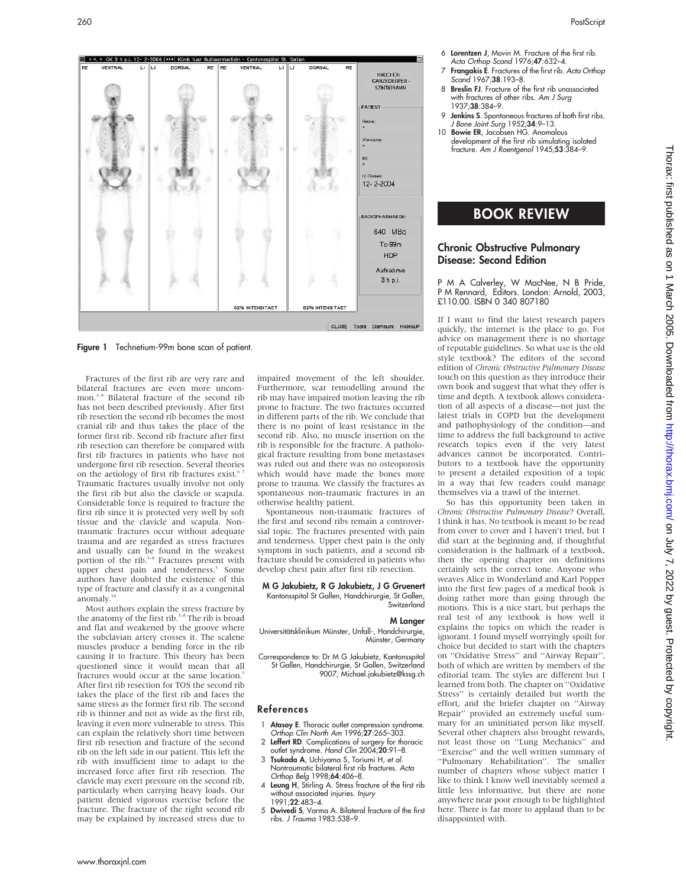

Figure 1 Technetium-99m bone scan of patient.

Fractures of the first rib are very rare and bilateral fractures are even more uncommon.<sup>3–9</sup> Bilateral fracture of the second rib has not been described previously. After first rib resection the second rib becomes the most cranial rib and thus takes the place of the former first rib. Second rib fracture after first rib resection can therefore be compared with first rib fractures in patients who have not undergone first rib resection. Several theories on the aetiology of first rib fractures exist.<sup>6</sup> Traumatic fractures usually involve not only the first rib but also the clavicle or scapula. Considerable force is required to fracture the first rib since it is protected very well by soft tissue and the clavicle and scapula. Nontraumatic fractures occur without adequate trauma and are regarded as stress fractures and usually can be found in the weakest portion of the rib.<sup>3–8</sup> Fractures present with upper chest pain and tenderness.<sup>3</sup> Some authors have doubted the existence of this type of fracture and classify it as a congenital anomaly. $<sup>1</sup>$ </sup>

Most authors explain the stress fracture by the anatomy of the first rib.<sup>3–8</sup> The rib is broad and flat and weakened by the groove where the subclavian artery crosses it. The scalene muscles produce a bending force in the rib causing it to fracture. This theory has been questioned since it would mean that all fractures would occur at the same location.<sup>3</sup> After first rib resection for TOS the second rib takes the place of the first rib and faces the same stress as the former first rib. The second rib is thinner and not as wide as the first rib, leaving it even more vulnerable to stress. This can explain the relatively short time between first rib resection and fracture of the second rib on the left side in our patient. This left the rib with insufficient time to adapt to the increased force after first rib resection. The clavicle may exert pressure on the second rib, particularly when carrying heavy loads. Our patient denied vigorous exercise before the fracture. The fracture of the right second rib may be explained by increased stress due to impaired movement of the left shoulder. Furthermore, scar remodelling around the rib may have impaired motion leaving the rib prone to fracture. The two fractures occurred in different parts of the rib. We conclude that there is no point of least resistance in the second rib. Also, no muscle insertion on the rib is responsible for the fracture. A pathological fracture resulting from bone metastases was ruled out and there was no osteoporosis which would have made the bones more prone to trauma. We classify the fractures as spontaneous non-traumatic fractures in an otherwise healthy patient.

Spontaneous non-traumatic fractures of the first and second ribs remain a controversial topic. The fractures presented with pain and tenderness. Upper chest pain is the only symptom in such patients, and a second rib fracture should be considered in patients who develop chest pain after first rib resection.

#### M G Jakubietz, R G Jakubietz, J G Gruenert Kantonsspital St Gallen, Handchirurgie, St Gallen,

Switzerland

#### M Langer

Universitätsklinikum Münster, Unfall-, Handchirurgie, Münster, Germany

Correspondence to: Dr M G Jakubietz, Kantonsspital St Gallen, Handchirurgie, St Gallen, Switzerland 9007; Michael.jakubietz@kssg.ch

#### References

- 1 Atasoy E. Thoracic outlet compression syndrome. Orthop Clin North Am 1996;27:265–303.
- 2 Leffert RD. Complications of surgery for thoracic outlet syndrome. Hand Clin 2004;20:91-8.
- 3 Tsukada A, Uchiyama S, Toriumi H, et al. Nontraumatic bilateral first rib fractures. Acta Orthop Belg 1998;64:406-8.
- 4 Leung H, Stirling A. Stress fracture of the first rib without associated injuries. Injury 1991;22:483–4.
- 5 Dwivedi S, Varma A. Bilateral fracture of the first ribs. J Trauma 1983:538–9.
- 6 Lorentzen J, Movin M. Fracture of the first rib. Acta Orthop Scand 1976;47:632–4.
- Frangakis E. Fractures of the first rib. Acta Orthop Scand 1967;38:193–8.
- 8 Breslin FJ. Fracture of the first rib unassociated with fractures of other ribs. Am J Surg 1937;38:384–9.
- 9 Jenkins S. Spontaneous fractures of both first ribs. J Bone Joint Surg 1952;34:9–13.
- 10 **Bowie ER**, Jacobsen HG. Anomalous development of the first rib simulating isolated fracture. Am J Roentgenol 1945;53:384–9.

# BOOK REVIEW

## Chronic Obstructive Pulmonary Disease: Second Edition

P M A Calverley, W MacNee, N B Pride, P M Rennard, Editors. London: Arnold, 2003, £110.00. ISBN 0 340 807180

If I want to find the latest research papers quickly, the internet is the place to go. For advice on management there is no shortage of reputable guidelines. So what use is the old style textbook? The editors of the second edition of Chronic Obstructive Pulmonary Disease touch on this question as they introduce their own book and suggest that what they offer is time and depth. A textbook allows consideration of all aspects of a disease—not just the latest trials in COPD but the development and pathophysiology of the condition—and time to address the full background to active research topics even if the very latest advances cannot be incorporated. Contributors to a textbook have the opportunity to present a detailed exposition of a topic in a way that few readers could manage themselves via a trawl of the internet.

So has this opportunity been taken in Chronic Obstructive Pulmonary Disease? Overall, I think it has. No textbook is meant to be read from cover to cover and I haven't tried, but I did start at the beginning and, if thoughtful consideration is the hallmark of a textbook, then the opening chapter on definitions certainly sets the correct tone. Anyone who weaves Alice in Wonderland and Karl Popper into the first few pages of a medical book is doing rather more than going through the motions. This is a nice start, but perhaps the real test of any textbook is how well it explains the topics on which the reader is ignorant. I found myself worryingly spoilt for choice but decided to start with the chapters on ''Oxidative Stress'' and ''Airway Repair'', both of which are written by members of the editorial team. The styles are different but I learned from both. The chapter on ''Oxidative Stress'' is certainly detailed but worth the effort, and the briefer chapter on ''Airway Repair'' provided an extremely useful summary for an uninitiated person like myself. Several other chapters also brought rewards, not least those on ''Lung Mechanics'' and ''Exercise'' and the well written summary of ''Pulmonary Rehabilitation''. The smaller number of chapters whose subject matter I like to think I know well inevitably seemed a little less informative, but there are none anywhere near poor enough to be highlighted here. There is far more to applaud than to be disappointed with.